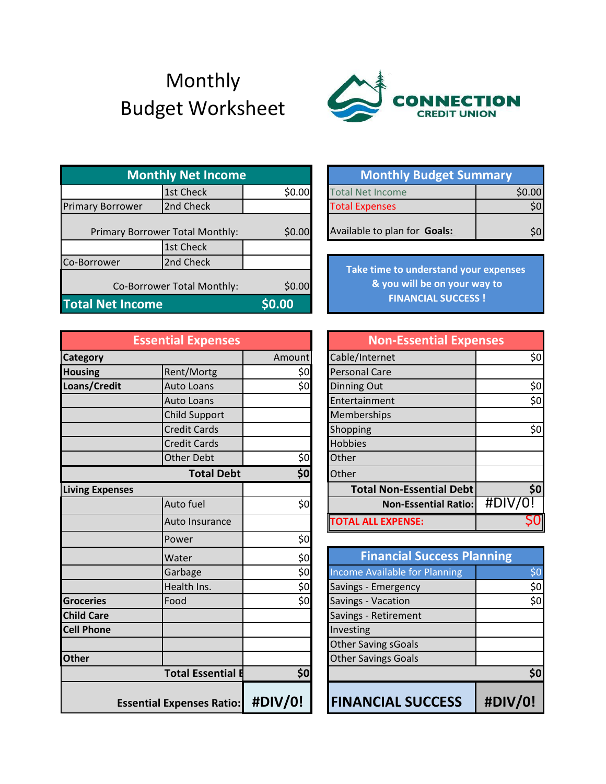## Monthly Budget Worksheet



| <b>Monthly Net Income</b>       |           | <b>Monthly Budget Summary</b> |                                                                       |        |
|---------------------------------|-----------|-------------------------------|-----------------------------------------------------------------------|--------|
|                                 | 1st Check | \$0.00                        | <b>Total Net Income</b>                                               | \$0.00 |
| <b>Primary Borrower</b>         | 2nd Check |                               | <b>Total Expenses</b>                                                 | \$0    |
| Primary Borrower Total Monthly: |           | \$0.00                        | Available to plan for Goals:                                          | \$0    |
|                                 | 1st Check |                               |                                                                       |        |
| Co-Borrower                     | 2nd Check |                               |                                                                       |        |
| Co-Borrower Total Monthly:      |           | \$0.00                        | Take time to understand your expenses<br>& you will be on your way to |        |
| <b>Total Net Income</b>         |           | \$0.00                        | <b>FINANCIAL SUCCESS!</b>                                             |        |

| <b>Essential Expenses</b> |                                  |                 | <b>Non-Essential Expenses</b>     |         |
|---------------------------|----------------------------------|-----------------|-----------------------------------|---------|
| Category                  |                                  | Amount          | Cable/Internet                    | \$0     |
| <b>Housing</b>            | Rent/Mortg                       | \$0             | <b>Personal Care</b>              |         |
| Loans/Credit              | <b>Auto Loans</b>                | \$0             | <b>Dinning Out</b>                | \$0     |
|                           | <b>Auto Loans</b>                |                 | Entertainment                     | \$0     |
|                           | <b>Child Support</b>             |                 | Memberships                       |         |
|                           | <b>Credit Cards</b>              |                 | Shopping                          | \$0     |
|                           | <b>Credit Cards</b>              |                 | <b>Hobbies</b>                    |         |
|                           | <b>Other Debt</b>                | \$0             | Other                             |         |
|                           | <b>Total Debt</b>                | \$0             | Other                             |         |
| <b>Living Expenses</b>    |                                  |                 | <b>Total Non-Essential Debt</b>   | \$0     |
|                           | Auto fuel                        | \$0             | <b>Non-Essential Ratio:</b>       | #DIV/0! |
|                           | Auto Insurance                   |                 | <b>TOTAL ALL EXPENSE:</b>         | Ş0      |
|                           | Power                            | \$0             |                                   |         |
|                           | Water                            | \$0             | <b>Financial Success Planning</b> |         |
|                           | Garbage                          | $\overline{50}$ | Income Available for Planning     | \$0     |
|                           | Health Ins.                      | \$0             | Savings - Emergency               | \$0     |
| <b>Groceries</b>          | Food                             | \$0             | Savings - Vacation                | \$0     |
| <b>Child Care</b>         |                                  |                 | Savings - Retirement              |         |
| <b>Cell Phone</b>         |                                  |                 | Investing                         |         |
|                           |                                  |                 | <b>Other Saving sGoals</b>        |         |
| <b>Other</b>              |                                  |                 | <b>Other Savings Goals</b>        |         |
|                           | <b>Total Essential E</b>         | \$0             |                                   | \$0     |
|                           | <b>Essential Expenses Ratio:</b> | #DIV/0!         | <b>FINANCIAL SUCCESS</b>          | #DIV/0! |

| lly Net Income   |        | <b>Monthly Budget Summary</b> |        |
|------------------|--------|-------------------------------|--------|
| 1st Check        | \$0.00 | Total Net Income              | \$0.00 |
| 2nd Check        |        | <b>Total Expenses</b>         |        |
| r Total Monthly: | \$0.00 | Available to plan for Goals:  |        |

| tial Expenses        |        |                                 | <b>Non-Essential Expenses</b> |  |  |
|----------------------|--------|---------------------------------|-------------------------------|--|--|
|                      | Amount | Cable/Internet                  | \$0                           |  |  |
| Rent/Mortg           | \$0    | <b>Personal Care</b>            |                               |  |  |
| <b>Auto Loans</b>    | \$0    | <b>Dinning Out</b>              | \$0                           |  |  |
| Auto Loans           |        | Entertainment                   | \$0                           |  |  |
| <b>Child Support</b> |        | Memberships                     |                               |  |  |
| <b>Credit Cards</b>  |        | Shopping                        | \$0                           |  |  |
| <b>Credit Cards</b>  |        | <b>Hobbies</b>                  |                               |  |  |
| <b>Other Debt</b>    | \$0    | Other                           |                               |  |  |
| <b>Total Debt</b>    | \$0]   | Other                           |                               |  |  |
|                      |        | <b>Total Non-Essential Debt</b> | \$0                           |  |  |
| Auto fuel            | \$0    | <b>Non-Essential Ratio:</b>     | $\#$ DIV/0!                   |  |  |
| Auto Insurance       |        | <b>OTAL ALL EXPENSE:</b>        | SO                            |  |  |

| Water                            | \$0     | <b>Financial Success Planning</b> |         |
|----------------------------------|---------|-----------------------------------|---------|
| Garbage                          | \$0     | Income Available for Planning     | \$0     |
| Health Ins.                      | \$0     | Savings - Emergency               | \$0     |
| Food                             | \$0     | Savings - Vacation                | \$0     |
|                                  |         | Savings - Retirement              |         |
|                                  |         | Investing                         |         |
|                                  |         | <b>Other Saving sGoals</b>        |         |
|                                  |         | <b>Other Savings Goals</b>        |         |
| <b>Total Essential E</b>         | \$0     |                                   | \$0     |
| <b>Essential Expenses Ratio:</b> | #DIV/0! | <b>FINANCIAL SUCCESS</b>          | #DIV/0! |